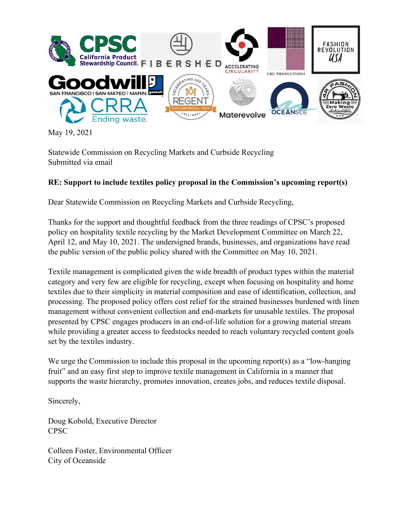

May 19, 2021

Statewide Commission on Recycling Markets and Curbside Recycling Submitted via email

### **RE: Support to include textiles policy proposal in the Commission's upcoming report(s)**

Dear Statewide Commission on Recycling Markets and Curbside Recycling,

Thanks for the support and thoughtful feedback from the three readings of CPSC's proposed policy on hospitality textile recycling by the Market Development Committee on March 22, April 12, and May 10, 2021. The undersigned brands, businesses, and organizations have read the public version of the public policy shared with the Committee on May 10, 2021.

Textile management is complicated given the wide breadth of product types within the material category and very few are eligible for recycling, except when focusing on hospitality and home textiles due to their simplicity in material composition and ease of identification, collection, and processing. The proposed policy offers cost relief for the strained businesses burdened with linen management without convenient collection and end-markets for unusable textiles. The proposal presented by CPSC engages producers in an end-of-life solution for a growing material stream while providing a greater access to feedstocks needed to reach voluntary recycled content goals set by the textiles industry.

We urge the Commission to include this proposal in the upcoming report(s) as a "low-hanging" fruit" and an easy first step to improve textile management in California in a manner that supports the waste hierarchy, promotes innovation, creates jobs, and reduces textile disposal.

Sincerely,

Doug Kobold, Executive Director CPSC

Colleen Foster, Environmental Officer City of Oceanside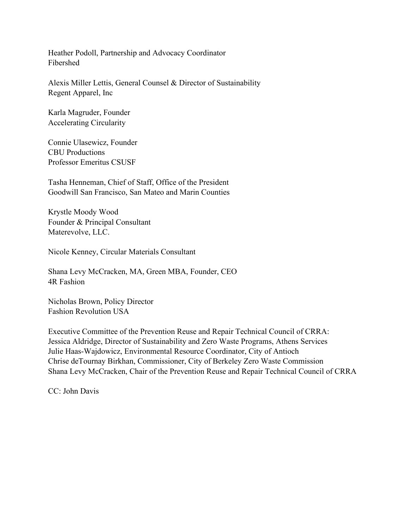Heather Podoll, Partnership and Advocacy Coordinator Fibershed

Alexis Miller Lettis, General Counsel & Director of Sustainability Regent Apparel, Inc

Karla Magruder, Founder Accelerating Circularity

Connie Ulasewicz, Founder CBU Productions Professor Emeritus CSUSF

Tasha Henneman, Chief of Staff, Office of the President Goodwill San Francisco, San Mateo and Marin Counties

Krystle Moody Wood Founder & Principal Consultant Materevolve, LLC.

Nicole Kenney, Circular Materials Consultant

Shana Levy McCracken, MA, Green MBA, Founder, CEO 4R Fashion

Nicholas Brown, Policy Director Fashion Revolution USA

Executive Committee of the Prevention Reuse and Repair Technical Council of CRRA: Jessica Aldridge, Director of Sustainability and Zero Waste Programs, Athens Services Julie Haas-Wajdowicz, Environmental Resource Coordinator, City of Antioch Chrise deTournay Birkhan, Commissioner, City of Berkeley Zero Waste Commission Shana Levy McCracken, Chair of the Prevention Reuse and Repair Technical Council of CRRA

CC: John Davis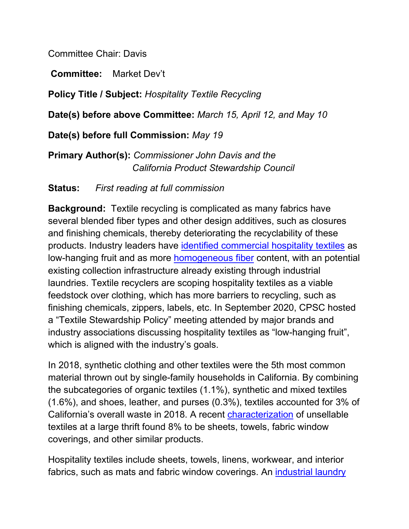Committee Chair: Davis

**Committee:** Market Dev't

**Policy Title / Subject:** *Hospitality Textile Recycling*

**Date(s) before above Committee:** *March 15, April 12, and May 10*

**Date(s) before full Commission:** *May 19*

**Primary Author(s):** *Commissioner John Davis and the California Product Stewardship Council*

**Status:** *First reading at full commission* 

**Background:** Textile recycling is complicated as many fabrics have several blended fiber types and other design additives, such as closures and finishing chemicals, thereby deteriorating the recyclability of these products. Industry leaders have [identified commercial hospitality textiles](https://textileexchange.org/wp-content/uploads/2020/11/2020-Conference-Overview-Report.pdf) as low-hanging fruit and as more [homogeneous fiber](https://cdn.ymaws.com/www.almnet.org/resource/resmgr/Certification/Contact_Hour_Articles/009_HospitalityLinens.pdf) content, with an potential existing collection infrastructure already existing through industrial laundries. Textile recyclers are scoping hospitality textiles as a viable feedstock over clothing, which has more barriers to recycling, such as finishing chemicals, zippers, labels, etc. In September 2020, CPSC hosted a "Textile Stewardship Policy" meeting attended by major brands and industry associations discussing hospitality textiles as "low-hanging fruit", which is aligned with the industry's goals.

In 2018, synthetic clothing and other textiles were the 5th most common material thrown out by single-family households in California. By combining the subcategories of organic textiles (1.1%), synthetic and mixed textiles (1.6%), and shoes, leather, and purses (0.3%), textiles accounted for 3% of California's overall waste in 2018. A recent [characterization](https://www.calpsc.org/product-page/promoting-clothing-reuse-repair-repurposing) of unsellable textiles at a large thrift found 8% to be sheets, towels, fabric window coverings, and other similar products.

Hospitality textiles include sheets, towels, linens, workwear, and interior fabrics, such as mats and fabric window coverings. An [industrial laundry](https://www.cinet-online.com/industrial-laundry/)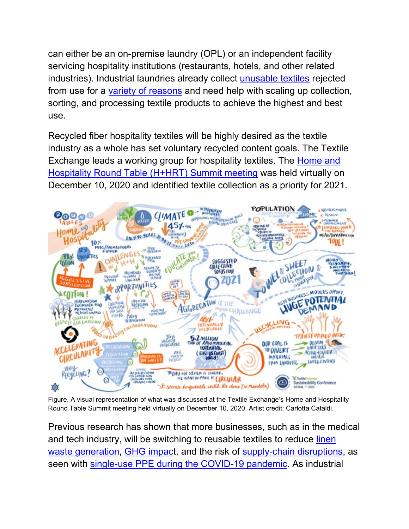can either be an on-premise laundry (OPL) or an independent facility servicing hospitality institutions (restaurants, hotels, and other related industries). Industrial laundries already collect [unusable textiles](https://www.arta1.com/wp-content/uploads/2020/02/ARTA_Poster_3_Recycle.pdf) rejected from use for a [variety of reasons](https://cdn.ymaws.com/www.almnet.org/resource/resmgr/certification/contact_hour_Articles/106_LinenLifeReplacementsRej.pdf) and need help with scaling up collection, sorting, and processing textile products to achieve the highest and best use.

Recycled fiber hospitality textiles will be highly desired as the textile industry as a whole has set voluntary recycled content goals. The Textile Exchange leads a working group for hospitality textiles. The [Home and](https://textileexchange.org/wp-content/uploads/2020/12/HHRT-Summit-Summary.pdf)  [Hospitality Round Table \(H+HRT\) Summit meeting](https://textileexchange.org/wp-content/uploads/2020/12/HHRT-Summit-Summary.pdf) was held virtually on December 10, 2020 and identified textile collection as a priority for 2021.



Figure. A visual representation of what was discussed at the Textile Exchange's Home and Hospitality Round Table Summit meeting held virtually on December 10, 2020. Artist credit: Carlotta Cataldi.

Previous research has shown that more businesses, such as in the medical and tech industry, will be switching to reusable textiles to reduce [linen](https://www.arta1.com/wp-content/uploads/2020/05/AORN-Journal_Surgical-Gown-LCA.March-2020.pdf)  [waste generation,](https://www.arta1.com/wp-content/uploads/2020/05/AORN-Journal_Surgical-Gown-LCA.March-2020.pdf) [GHG impact](https://journal.pda.org/content/early/2018/02/14/pdajpst.2017.007864), and the risk of [supply-chain disruptions,](https://pubmed.ncbi.nlm.nih.gov/28636443/) as seen with [single-use PPE during the COVID-19 pandemic.](https://www.cbc.ca/news/technology/reuse-recycling-hospitals-ppe-1.5936823) As industrial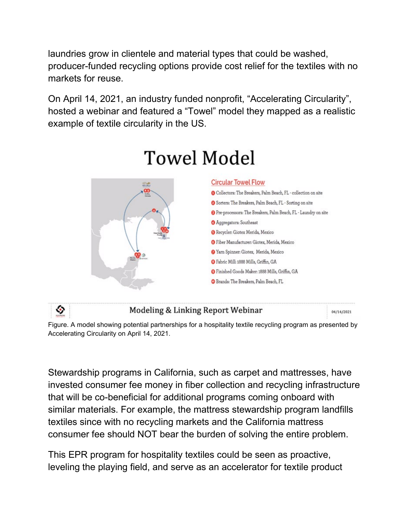laundries grow in clientele and material types that could be washed, producer-funded recycling options provide cost relief for the textiles with no markets for reuse.

On April 14, 2021, an industry funded nonprofit, "Accelerating Circularity", hosted a webinar and featured a "Towel" model they mapped as a realistic example of textile circularity in the US.



# **Towel Model**

٠

#### Modeling & Linking Report Webinar

04/14/2021

Figure. A model showing potential partnerships for a hospitality textile recycling program as presented by Accelerating Circularity on April 14, 2021.

Stewardship programs in California, such as carpet and mattresses, have invested consumer fee money in fiber collection and recycling infrastructure that will be co-beneficial for additional programs coming onboard with similar materials. For example, the mattress stewardship program landfills textiles since with no recycling markets and the California mattress consumer fee should NOT bear the burden of solving the entire problem.

This EPR program for hospitality textiles could be seen as proactive, leveling the playing field, and serve as an accelerator for textile product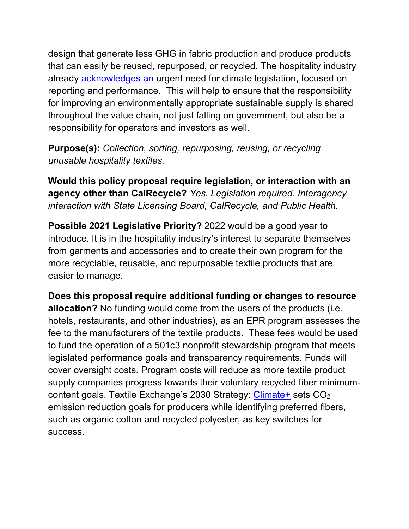design that generate less GHG in fabric production and produce products that can easily be reused, repurposed, or recycled. The hospitality industry already [acknowledges a](https://www.hospitalitynet.org/opinion/4103666.html)n urgent need for climate legislation, focused on reporting and performance. This will help to ensure that the responsibility for improving an environmentally appropriate sustainable supply is shared throughout the value chain, not just falling on government, but also be a responsibility for operators and investors as well.

**Purpose(s):** *Collection, sorting, repurposing, reusing, or recycling unusable hospitality textiles.*

**Would this policy proposal require legislation, or interaction with an agency other than CalRecycle?** *Yes. Legislation required. Interagency interaction with State Licensing Board, CalRecycle, and Public Health.*

**Possible 2021 Legislative Priority?** 2022 would be a good year to introduce. It is in the hospitality industry's interest to separate themselves from garments and accessories and to create their own program for the more recyclable, reusable, and repurposable textile products that are easier to manage.

**Does this proposal require additional funding or changes to resource allocation?** No funding would come from the users of the products (i.e. hotels, restaurants, and other industries), as an EPR program assesses the fee to the manufacturers of the textile products. These fees would be used to fund the operation of a 501c3 nonprofit stewardship program that meets legislated performance goals and transparency requirements. Funds will cover oversight costs. Program costs will reduce as more textile product supply companies progress towards their voluntary recycled fiber minimum-content goals. Textile Exchange's 2030 Strategy: [Climate+](https://textileexchange.org/2030-climate-plus/) sets CO<sub>2</sub> emission reduction goals for producers while identifying preferred fibers, such as organic cotton and recycled polyester, as key switches for success.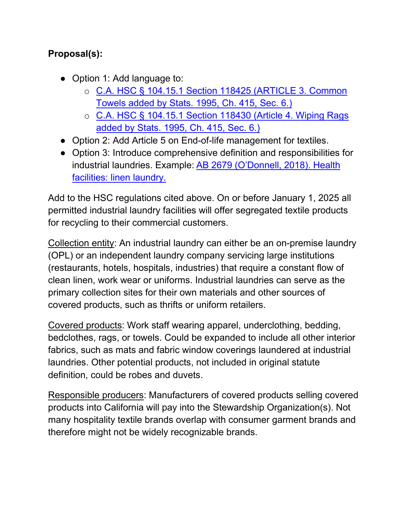## **Proposal(s):**

- Option 1: Add language to:
	- o [C.A. HSC § 104.15.1 Section 118425 \(ARTICLE 3. Common](https://leginfo.legislature.ca.gov/faces/codes_displayText.xhtml?lawCode=HSC&division=104.&title=&part=15.&chapter=1.&article=3.)  [Towels added by Stats. 1995, Ch. 415, Sec. 6.\)](https://leginfo.legislature.ca.gov/faces/codes_displayText.xhtml?lawCode=HSC&division=104.&title=&part=15.&chapter=1.&article=3.)
	- o [C.A. HSC § 104.15.1 Section 118430 \(Article 4. Wiping Rags](https://leginfo.legislature.ca.gov/faces/codes_displayText.xhtml?lawCode=HSC&division=104.&title=&part=15.&chapter=1.&article=4.)  [added by Stats. 1995, Ch. 415, Sec. 6.\)](https://leginfo.legislature.ca.gov/faces/codes_displayText.xhtml?lawCode=HSC&division=104.&title=&part=15.&chapter=1.&article=4.)
- Option 2: Add Article 5 on End-of-life management for textiles.
- Option 3: Introduce comprehensive definition and responsibilities for industrial laundries. Example: [AB 2679 \(O'Donnell, 2018\). Health](https://leginfo.legislature.ca.gov/faces/billTextClient.xhtml?bill_id=201720180AB2679)  [facilities: linen laundry.](https://leginfo.legislature.ca.gov/faces/billTextClient.xhtml?bill_id=201720180AB2679)

Add to the HSC regulations cited above. On or before January 1, 2025 all permitted industrial laundry facilities will offer segregated textile products for recycling to their commercial customers.

Collection entity: An industrial laundry can either be an on-premise laundry (OPL) or an independent laundry company servicing large institutions (restaurants, hotels, hospitals, industries) that require a constant flow of clean linen, work wear or uniforms. Industrial laundries can serve as the primary collection sites for their own materials and other sources of covered products, such as thrifts or uniform retailers.

Covered products: Work staff wearing apparel, underclothing, bedding, bedclothes, rags, or towels. Could be expanded to include all other interior fabrics, such as mats and fabric window coverings laundered at industrial laundries. Other potential products, not included in original statute definition, could be robes and duvets.

Responsible producers: Manufacturers of covered products selling covered products into California will pay into the Stewardship Organization(s). Not many hospitality textile brands overlap with consumer garment brands and therefore might not be widely recognizable brands.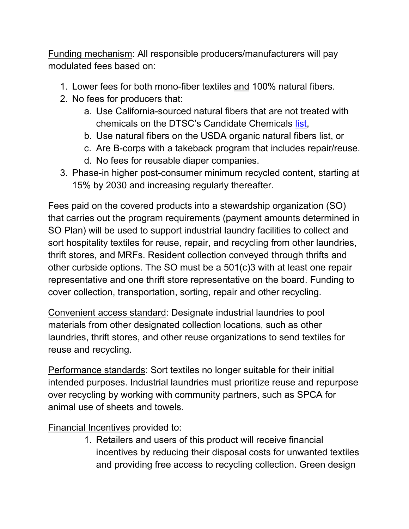Funding mechanism: All responsible producers/manufacturers will pay modulated fees based on:

- 1. Lower fees for both mono-fiber textiles and 100% natural fibers.
- 2. No fees for producers that:
	- a. Use California-sourced natural fibers that are not treated with chemicals on the DTSC's Candidate Chemicals [list,](https://dtsc.ca.gov/scp/candidate-chemicals-list/)
	- b. Use natural fibers on the USDA organic natural fibers list, or
	- c. Are B-corps with a takeback program that includes repair/reuse.
	- d. No fees for reusable diaper companies.
- 3. Phase-in higher post-consumer minimum recycled content, starting at 15% by 2030 and increasing regularly thereafter.

Fees paid on the covered products into a stewardship organization (SO) that carries out the program requirements (payment amounts determined in SO Plan) will be used to support industrial laundry facilities to collect and sort hospitality textiles for reuse, repair, and recycling from other laundries, thrift stores, and MRFs. Resident collection conveyed through thrifts and other curbside options. The SO must be a 501(c)3 with at least one repair representative and one thrift store representative on the board. Funding to cover collection, transportation, sorting, repair and other recycling.

Convenient access standard: Designate industrial laundries to pool materials from other designated collection locations, such as other laundries, thrift stores, and other reuse organizations to send textiles for reuse and recycling.

Performance standards: Sort textiles no longer suitable for their initial intended purposes. Industrial laundries must prioritize reuse and repurpose over recycling by working with community partners, such as SPCA for animal use of sheets and towels.

Financial Incentives provided to:

1. Retailers and users of this product will receive financial incentives by reducing their disposal costs for unwanted textiles and providing free access to recycling collection. Green design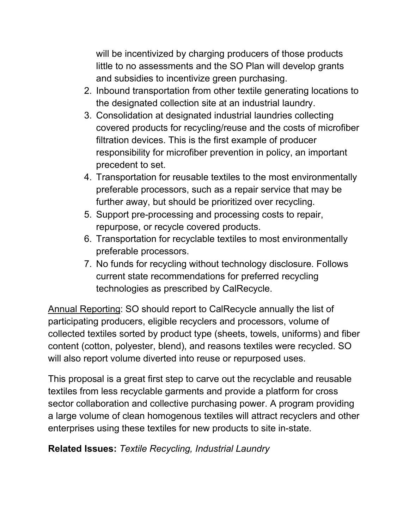will be incentivized by charging producers of those products little to no assessments and the SO Plan will develop grants and subsidies to incentivize green purchasing.

- 2. Inbound transportation from other textile generating locations to the designated collection site at an industrial laundry.
- 3. Consolidation at designated industrial laundries collecting covered products for recycling/reuse and the costs of microfiber filtration devices. This is the first example of producer responsibility for microfiber prevention in policy, an important precedent to set.
- 4. Transportation for reusable textiles to the most environmentally preferable processors, such as a repair service that may be further away, but should be prioritized over recycling.
- 5. Support pre-processing and processing costs to repair, repurpose, or recycle covered products.
- 6. Transportation for recyclable textiles to most environmentally preferable processors.
- 7. No funds for recycling without technology disclosure. Follows current state recommendations for preferred recycling technologies as prescribed by CalRecycle.

Annual Reporting: SO should report to CalRecycle annually the list of participating producers, eligible recyclers and processors, volume of collected textiles sorted by product type (sheets, towels, uniforms) and fiber content (cotton, polyester, blend), and reasons textiles were recycled. SO will also report volume diverted into reuse or repurposed uses.

This proposal is a great first step to carve out the recyclable and reusable textiles from less recyclable garments and provide a platform for cross sector collaboration and collective purchasing power. A program providing a large volume of clean homogenous textiles will attract recyclers and other enterprises using these textiles for new products to site in-state.

**Related Issues:** *Textile Recycling, Industrial Laundry*